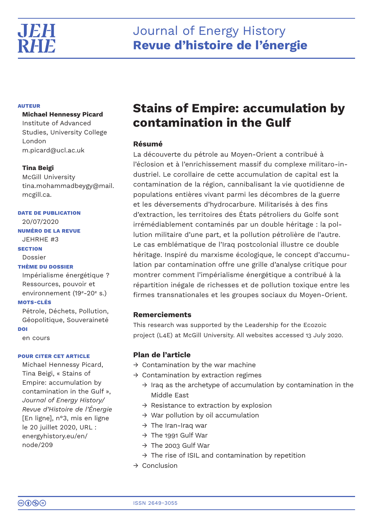

# **AUTEUR**

# **Michael Hennessy Picard**

Institute of Advanced Studies, University College London m.picard@ucl.ac.uk

# **Tina Beigi**

McGill University tina.mohammadbeygy@mail. mcgill.ca.

# **DATE DE PUBLICATION**

20/07/2020

# **NUMÉRO DE LA REVUE** JEHRHE #3

**SECTION**

Dossier

# **THÈME DU DOSSIER**

Impérialisme énergétique ? Ressources, pouvoir et environnement (19<sup>e</sup>-20<sup>e</sup> s.)

# **MOTS-CLÉS**

Pétrole, Déchets, Pollution, Géopolitique, Souveraineté **DOI**

en cours

# **POUR CITER CET ARTICLE**

Michael Hennessy Picard, Tina Beigi, « Stains of Empire: accumulation by contamination in the Gulf », *Journal of Energy History/ Revue d'Histoire de l'Énergie* [En ligne], n°3, mis en ligne le 20 juillet 2020, URL : energyhistory.eu/en/ node/209

# **Stains of Empire: accumulation by contamination in the Gulf**

# **Résumé**

La découverte du pétrole au Moyen-Orient a contribué à l'éclosion et à l'enrichissement massif du complexe militaro-industriel. Le corollaire de cette accumulation de capital est la contamination de la région, cannibalisant la vie quotidienne de populations entières vivant parmi les décombres de la guerre et les déversements d'hydrocarbure. Militarisés à des fins d'extraction, les territoires des États pétroliers du Golfe sont irrémédiablement contaminés par un double héritage : la pollution militaire d'une part, et la pollution pétrolière de l'autre. Le cas emblématique de l'Iraq postcolonial illustre ce double héritage. Inspiré du marxisme écologique, le concept d'accumulation par contamination offre une grille d'analyse critique pour montrer comment l'impérialisme énergétique a contribué à la répartition inégale de richesses et de pollution toxique entre les firmes transnationales et les groupes sociaux du Moyen-Orient.

# **Remerciements**

This research was supported by the Leadership for the Ecozoic project (L4E) at McGill University. All websites accessed 13 July 2020.

# **Plan de l'article**

- $\rightarrow$  Contamination by the war machine
- $\rightarrow$  Contamination by extraction regimes
	- $\rightarrow$  Iraq as the archetype of accumulation by contamination in the Middle East
	- $\rightarrow$  Resistance to extraction by explosion
	- $\rightarrow$  War pollution by oil accumulation
	- $\rightarrow$  The Iran-Iraq war
	- $\rightarrow$  The 1991 Gulf War
	- $\rightarrow$  The 2003 Gulf War
	- $\rightarrow$  The rise of ISIL and contamination by repetition
- → Conclusion

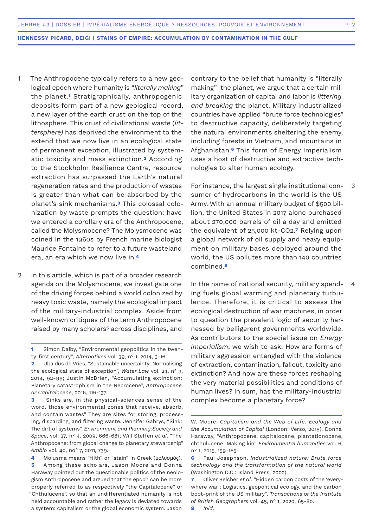- The Anthropocene typically refers to a new geological epoch where humanity is "*literally making*" the planet.**1** Stratigraphically, anthropogenic deposits form part of a new geological record, a new layer of the earth crust on the top of the lithosphere. This crust of civilizational waste (*littersphere)* has deprived the environment to the extend that we now live in an ecological state of permanent exception, illustrated by systematic toxicity and mass extinction.**2** According to the Stockholm Resilience Centre, resource extraction has surpassed the Earth's natural regeneration rates and the production of wastes is greater than what can be absorbed by the planet's sink mechanisms.**3** This colossal colonization by waste prompts the question: have we entered a corollary era of the Anthropocene, called the Molysmocene? The Molysmocene was coined in the 1960s by French marine biologist Maurice Fontaine to refer to a future wasteland era, an era which we now live in.**<sup>4</sup>** 1
- In this article, which is part of a broader research agenda on the Molysmocene, we investigate one of the driving forces behind a world colonized by heavy toxic waste, namely the ecological impact of the military-industrial complex. Aside from well-known critiques of the term Anthropocene raised by many scholars**5** across disciplines, and  $\mathfrak{D}$

**3** "Sinks are, in the physical-sciences sense of the word, those environmental zones that receive, absorb, and contain wastes" They are sites for storing, processing, discarding, and filtering waste. Jennifer Gabrys, "Sink: The dirt of systems", *Environment and Planning:Society and Space*, vol. 27, n° 4, 2009, 666-681; Will Steffen *et al*. "The Anthropocene: from global change to planetary stewardship" *Ambio* vol. 40, no° 7, 2011, 739.

**4** Molusma means "filth" or "stain" in Greek (μολυσμός).

**5** Among these scholars, Jason Moore and Donna Haraway pointed out the questionable politics of the neologism Anthropocene and argued that the epoch can be more properly referred to as respectively "the Capitalocene" or "Chthulucene", so that an undifferentiated humanity is not held accountable and rather the legacy is deviated towards a system: capitalism or the global economic system. Jason

contrary to the belief that humanity is "literally making" the planet, we argue that a certain military organization of capital and labor is *littering and breaking* the planet. Military industrialized countries have applied "brute force technologies" to destructive capacity, deliberately targeting the natural environments sheltering the enemy, including forests in Vietnam, and mountains in Afghanistan.**6** This form of Energy Imperialism uses a host of destructive and extractive technologies to alter human ecology.

For instance, the largest single institutional consumer of hydrocarbons in the world is the US Army. With an annual military budget of \$500 billion, the United States in 2017 alone purchased about 270,000 barrels of oil a day and emitted the equivalent of 25,000 kt-CO2.**7** Relying upon a global network of oil supply and heavy equipment on military bases deployed around the world, the US pollutes more than 140 countries combined.**<sup>8</sup>** 3

In the name of national security, military spending fuels global warming and planetary turbulence. Therefore, it is critical to assess the ecological destruction of war machines, in order to question the prevalent logic of security harnessed by belligerent governments worldwide. As contributors to the special issue on *Energy Imperialism*, we wish to ask: How are forms of military aggression entangled with the violence of extraction, contamination, fallout, toxicity and extinction? And how are these forces reshaping the very material possibilities and conditions of human lives? In sum, has the military-industrial complex become a planetary force? 4

**<sup>1</sup>** Simon Dalby, "Environmental geopolitics in the twenty-first century", *Alternatives* vol. 39, n° 1, 2014, 3-16.

**<sup>2</sup>** Ubaldus de Vries, "Sustainable uncertainty: Normalising the ecological state of exception", *Water Law* vol. 24, n° 3, 2014, 92-99; Justin McBrien, "Accumulating extinction: Planetary catastrophism in the Necrocene", *Anthropocene or Capitalocene*, 2016, 116-137.

W. Moore, *Capitalism and the Web of Life: Ecology and the Accumulation of Capital* (London: Verso, 2015). Donna Haraway, "Anthropocene, capitalocene, plantationocene, chthulucene: Making kin" *Environmental humanities* vol. 6, n° 1, 2015, 159-165.

**<sup>6</sup>** Paul Josephson, *Industrialized nature: Brute force technology and the transformation of the natural world*  (Washington D.C.: Island Press, 2002).

**<sup>7</sup>** Oliver Belcher *et al*. "Hidden carbon costs of the 'everywhere war': Logistics, geopolitical ecology, and the carbon boot‐print of the US military", *Transactions of the Institute of British Geographers* vol. 45, n° 1, 2020, 65-80.

**<sup>8</sup>** *Ibid*.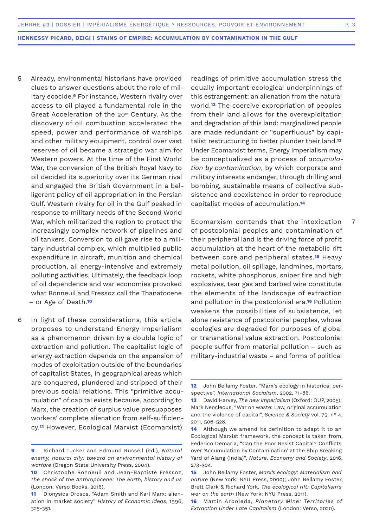- Already, environmental historians have provided clues to answer questions about the role of military ecocide.**9** For instance, Western rivalry over access to oil played a fundamental role in the Great Acceleration of the 20<sup>th</sup> Century. As the discovery of oil combustion accelerated the speed, power and performance of warships and other military equipment, control over vast reserves of oil became a strategic war aim for Western powers. At the time of the First World War, the conversion of the British Royal Navy to oil decided its superiority over its German rival and engaged the British Government in a belligerent policy of oil appropriation in the Persian Gulf. Western rivalry for oil in the Gulf peaked in response to military needs of the Second World War, which militarized the region to protect the increasingly complex network of pipelines and oil tankers. Conversion to oil gave rise to a military industrial complex, which multiplied public expenditure in aircraft, munition and chemical production, all energy-intensive and extremely polluting activities. Ultimately, the feedback loop of oil dependence and war economies provoked what Bonneuil and Fressoz call the Thanatocene – or Age of Death.**<sup>10</sup>** 5
- In light of these considerations, this article proposes to understand Energy Imperialism as a phenomenon driven by a double logic of extraction and pollution. The capitalist logic of energy extraction depends on the expansion of modes of exploitation outside of the boundaries of capitalist States, in geographical areas which are conquered, plundered and stripped of their previous social relations. This "primitive accumulation" of capital exists because, according to Marx, the creation of surplus value presupposes workers' complete alienation from self-sufficiency.**11** However, Ecological Marxist (Ecomarxist) 6

readings of primitive accumulation stress the equally important ecological underpinnings of this estrangement: an alienation from the natural world.**12** The coercive expropriation of peoples from their land allows for the overexploitation and degradation of this land: marginalized people are made redundant or "superfluous" by capitalist restructuring to better plunder their land.**<sup>13</sup>** Under Ecomarxist terms, Energy Imperialism may be conceptualized as a process of *accumulation by contamination*, by which corporate and military interests endanger, through drilling and bombing, sustainable means of collective subsistence and coexistence in order to reproduce capitalist modes of accumulation.**<sup>14</sup>**

Ecomarxism contends that the intoxication of postcolonial peoples and contamination of their peripheral land is the driving force of profit accumulation at the heart of the metabolic rift between core and peripheral states.**15** Heavy metal pollution, oil spillage, landmines, mortars, rockets, white phosphorus, sniper fire and high explosives, tear gas and barbed wire constitute the elements of the landscape of extraction and pollution in the postcolonial era.**16** Pollution weakens the possibilities of subsistence, let alone resistance of postcolonial peoples, whose ecologies are degraded for purposes of global or transnational value extraction. Postcolonial people suffer from material pollution – such as military-industrial waste – and forms of political

7

**<sup>9</sup>** Richard Tucker and Edmund Russell (ed.), *Natural enemy, natural ally: toward an environmental history of warfare* (Oregon State University Press, 2004).

**<sup>10</sup>** Christophe Bonneuil and Jean-Baptiste Fressoz, *The shock of the Anthropocene: The earth, history and us*  (London: Verso Books, 2016).

**<sup>11</sup>** Dionysios Drosos, "Adam Smith and Karl Marx: alienation in market society" *History of Economic Ideas*, 1996, 325-351.

**<sup>12</sup>** John Bellamy Foster, "Marx's ecology in historical perspective", *International Socialism*, 2002, 71-86.

**<sup>13</sup>** David Harvey, *The new imperialism* (Oxford: OUP, 2005); Mark Neocleous, "War on waste: Law, original accumulation and the violence of capital", *Science & Society* vol. 75, n° 4, 2011, 506-528.

**<sup>14</sup>** Although we amend its definition to adapt it to an Ecological Marxist framework, the concept is taken from, Federico Demaria, "Can the Poor Resist Capital? Conflicts over 'Accumulation by Contamination' at the Ship Breaking Yard of Alang (India)", *Nature, Economy and Society*, 2016, 273-304.

**<sup>15</sup>** John Bellamy Foster, *Marx's ecology: Materialism and nature* (New York: NYU Press, 2000); John Bellamy Foster, Brett Clark & Richard York, *The ecological rift: Capitalism's war on the earth* (New York: NYU Press, 2011).

**<sup>16</sup>** Martín Arboleda, *Planetary Mine: Territories of Extraction Under Late Capitalism* (London: Verso, 2020).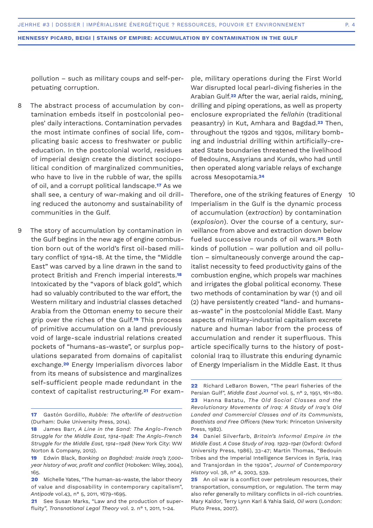pollution – such as military coups and self-perpetuating corruption.

- The abstract process of accumulation by contamination embeds itself in postcolonial peoples' daily interactions. Contamination pervades the most intimate confines of social life, complicating basic access to freshwater or public education. In the postcolonial world, residues of imperial design create the distinct sociopolitical condition of marginalized communities, who have to live in the rubble of war, the spills of oil, and a corrupt political landscape.**17** As we shall see, a century of war-making and oil drilling reduced the autonomy and sustainability of communities in the Gulf. 8
- The story of accumulation by contamination in the Gulf begins in the new age of engine combustion born out of the world's first oil-based military conflict of 1914-18. At the time, the "Middle East" was carved by a line drawn in the sand to protect British and French imperial interests.**<sup>18</sup>** Intoxicated by the "vapors of black gold", which had so valuably contributed to the war effort, the Western military and industrial classes detached Arabia from the Ottoman enemy to secure their grip over the riches of the Gulf.**19** This process of primitive accumulation on a land previously void of large-scale industrial relations created pockets of "humans-as-waste", or surplus populations separated from domains of capitalist exchange.**20** Energy Imperialism divorces labor from its means of subsistence and marginalizes self-sufficient people made redundant in the context of capitalist restructuring.**21** For exam-9

ple, military operations during the First World War disrupted local pearl-diving fisheries in the Arabian Gulf.**22** After the war, aerial raids, mining, drilling and piping operations, as well as property enclosure expropriated the *fellahin* (traditional peasantry) in Kut, Amhara and Bagdad.**23** Then, throughout the 1920s and 1930s, military bombing and industrial drilling within artificially-created State boundaries threatened the livelihood of Bedouins, Assyrians and Kurds, who had until then operated along variable relays of exchange across Mesopotamia.**<sup>24</sup>**

Therefore, one of the striking features of Energy Imperialism in the Gulf is the dynamic process of accumulation (*extraction*) by contamination (*explosion*). Over the course of a century, surveillance from above and extraction down below fueled successive rounds of oil wars.**25** Both kinds of pollution – war pollution and oil pollution – simultaneously converge around the capitalist necessity to feed productivity gains of the combustion engine, which propels war machines and irrigates the global political economy. These two methods of contamination by war (1) and oil (2) have persistently created "land- and humansas-waste" in the postcolonial Middle East. Many aspects of military-industrial capitalism excrete nature and human labor from the process of accumulation and render it superfluous. This article specifically turns to the history of postcolonial Iraq to illustrate this enduring dynamic of Energy Imperialism in the Middle East. It thus 10

**<sup>17</sup>** Gastón Gordillo, *Rubble: The afterlife of destruction* (Durham: Duke University Press, 2014).

**<sup>18</sup>** James Barr, *A Line in the Sand: The Anglo-French Struggle for the Middle East, 1914-1948: The Anglo-French Struggle for the Middle East, 1914–1948* (New York City: WW Norton & Company, 2012).

**<sup>19</sup>** Edwin Black, B*anking on Baghdad: Inside Iraq's 7,000 year history of war, profit and conflict* (Hoboken: Wiley, 2004), 165.

**<sup>20</sup>** Michelle Yates, "The human‐as‐waste, the labor theory of value and disposability in contemporary capitalism", *Antipode* vol.43, n° 5, 2011, 1679-1695.

**<sup>21</sup>** See Susan Marks, "Law and the production of superfluity", *Transnational Legal Theory* vol. 2. n° 1, 2011, 1-24.

**<sup>22</sup>** Richard LeBaron Bowen, "The pearl fisheries of the Persian Gulf", *Middle East Journal* vol. 5, n° 2, 1951, 161-180. **23** Hanna Batatu, *The Old Social Classes and the Revolutionary Movements of Iraq: A Study of Iraq's Old Landed and Commercial Classes and of its Communists, Baathists and Free Officers* (New York: Princeton University Press, 1982).

**<sup>24</sup>** Daniel Silverfarb, *Britain's Informal Empire in the Middle East. A Case Study of Iraq. 1929-1941* (Oxford: Oxford University Press, 1986), 33-47; Martin Thomas, "Bedouin Tribes and the Imperial Intelligence Services in Syria, Iraq and Transjordan in the 1920s", *Journal of Contemporary History* vol. 38, n° 4, 2003, 539.

**<sup>25</sup>** An oil war is a conflict over petroleum resources, their transportation, consumption, or regulation. The term may also refer generally to military conflicts in oil-rich countries. Mary Kaldor, Terry Lynn Karl & Yahia Said, *Oil wars* (London: Pluto Press, 2007).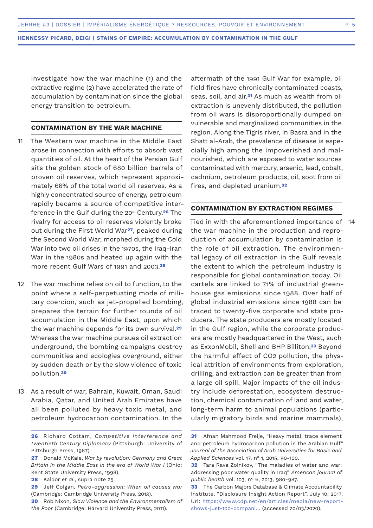investigate how the war machine (1) and the extractive regime (2) have accelerated the rate of accumulation by contamination since the global energy transition to petroleum.

### **CONTAMINATION BY THE WAR MACHINE**

- The Western war machine in the Middle East arose in connection with efforts to absorb vast quantities of oil. At the heart of the Persian Gulf sits the golden stock of 680 billion barrels of proven oil reserves, which represent approximately 66% of the total world oil reserves. As a highly concentrated source of energy, petroleum rapidly became a source of competitive interference in the Gulf during the 20th Century.**26** The rivalry for access to oil reserves violently broke out during the First World War**27**, peaked during the Second World War, morphed during the Cold War into two oil crises in the 1970s, the Iraq-Iran War in the 1980s and heated up again with the more recent Gulf Wars of 1991 and 2003.**<sup>28</sup>** 11
- 12 The war machine relies on oil to function, to the point where a self-perpetuating mode of military coercion, such as jet-propelled bombing, prepares the terrain for further rounds of oil accumulation in the Middle East, upon which the war machine depends for its own survival.**<sup>29</sup>** Whereas the war machine pursues oil extraction underground, the bombing campaigns destroy communities and ecologies overground, either by sudden death or by the slow violence of toxic pollution.**<sup>30</sup>**
- As a result of war, Bahrain, Kuwait, Oman, Saudi 13 Arabia, Qatar, and United Arab Emirates have all been polluted by heavy toxic metal, and petroleum hydrocarbon contamination. In the

aftermath of the 1991 Gulf War for example, oil field fires have chronically contaminated coasts, seas, soil, and air.**31** As much as wealth from oil extraction is unevenly distributed, the pollution from oil wars is disproportionally dumped on vulnerable and marginalized communities in the region. Along the Tigris river, in Basra and in the Shatt al-Arab, the prevalence of disease is especially high among the impoverished and malnourished, which are exposed to water sources contaminated with mercury, arsenic, lead, cobalt, cadmium, petroleum products, oil, soot from oil fires, and depleted uranium.**<sup>32</sup>**

### **CONTAMINATION BY EXTRACTION REGIMES**

Tied in with the aforementioned importance of 14the war machine in the production and reproduction of accumulation by contamination is the role of oil extraction. The environmental legacy of oil extraction in the Gulf reveals the extent to which the petroleum industry is responsible for global contamination today. Oil cartels are linked to 71% of industrial greenhouse gas emissions since 1988. Over half of global industrial emissions since 1988 can be traced to twenty-five corporate and state producers. The state producers are mostly located in the Gulf region, while the corporate producers are mostly headquartered in the West, such as ExxonMobil, Shell and BHP Billiton.**33** Beyond the harmful effect of CO2 pollution, the physical attrition of environments from exploration, drilling, and extraction can be greater than from a large oil spill. Major impacts of the oil industry include deforestation, ecosystem destruction, chemical contamination of land and water, long-term harm to animal populations (particularly migratory birds and marine mammals),

**<sup>26</sup>** Richard Cottam, *Competitive Interference and Twentieth Century Diplomacy* (Pittsburgh: University of Pittsburgh Press, 1967).

**<sup>27</sup>** Donald McKale, *War by revolution: Germany and Great Britain in the Middle East in the era of World War I* (Ohio: Kent State University Press, 1998).

**<sup>28</sup>** Kaldor *et al*., supra note 25.

**<sup>29</sup>** Jeff Colgan, *Petro-aggression: When oil causes war*  (Cambridge: Cambridge University Press, 2013).

**<sup>30</sup>** Rob Nixon, *Slow Violence and the Environmentalism of the Poor* (Cambridge: Harvard University Press, 2011).

**<sup>31</sup>** Afnan Mahmood Freije, "Heavy metal, trace element and petroleum hydrocarbon pollution in the Arabian Gulf" *Journal of the Association of Arab Universities for Basic and Applied Sciences* vol. 17, n° 1, 2015, 90-100.

**<sup>32</sup>** Tara Rava Zolnikov, "The maladies of water and war: addressing poor water quality in Iraq" *American journal of public health* vol. 103, n° 6, 2013, 980-987.

**<sup>33</sup>** The Carbon Majors Database & Climate Accountability Institute, "Disclosure Insight Action Report", July 10, 2017, Url: https://www.cdp.net/en/articles/media/new-reportshows-just-100-compani… (accessed 20/03/2020).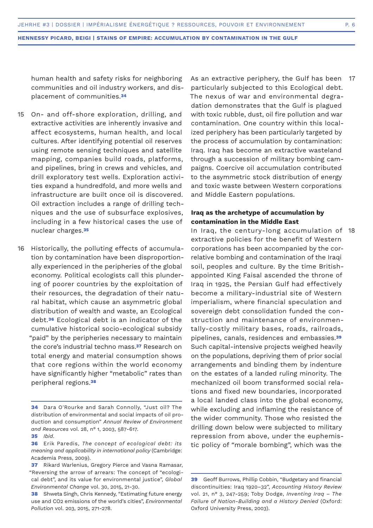human health and safety risks for neighboring communities and oil industry workers, and displacement of communities.**<sup>34</sup>**

- On- and off-shore exploration, drilling, and extractive activities are inherently invasive and affect ecosystems, human health, and local cultures. After identifying potential oil reserves using remote sensing techniques and satellite mapping, companies build roads, platforms, and pipelines, bring in crews and vehicles, and drill exploratory test wells. Exploration activities expand a hundredfold, and more wells and infrastructure are built once oil is discovered. Oil extraction includes a range of drilling techniques and the use of subsurface explosives, including in a few historical cases the use of nuclear charges.**<sup>35</sup>** 15
- Historically, the polluting effects of accumulation by contamination have been disproportionally experienced in the peripheries of the global economy. Political ecologists call this plundering of poorer countries by the exploitation of their resources, the degradation of their natural habitat, which cause an asymmetric global distribution of wealth and waste, an Ecological debt.**36** Ecological debt is an indicator of the cumulative historical socio-ecological subsidy "paid" by the peripheries necessary to maintain the core's industrial techno mass.**37** Research on total energy and material consumption shows that core regions within the world economy have significantly higher "metabolic" rates than peripheral regions.**<sup>38</sup>** 16

As an extractive periphery, the Gulf has been 17 particularly subjected to this Ecological debt. The nexus of war and environmental degradation demonstrates that the Gulf is plagued with toxic rubble, dust, oil fire pollution and war contamination. One country within this localized periphery has been particularly targeted by the process of accumulation by contamination: Iraq. Iraq has become an extractive wasteland through a succession of military bombing campaigns. Coercive oil accumulation contributed to the asymmetric stock distribution of energy and toxic waste between Western corporations and Middle Eastern populations.

# **Iraq as the archetype of accumulation by contamination in the Middle East**

In Iraq, the century-long accumulation of 18extractive policies for the benefit of Western corporations has been accompanied by the correlative bombing and contamination of the Iraqi soil, peoples and culture. By the time Britishappointed King Faisal ascended the throne of Iraq in 1925, the Persian Gulf had effectively become a military-industrial site of Western imperialism, where financial speculation and sovereign debt consolidation funded the construction and maintenance of environmentally-costly military bases, roads, railroads, pipelines, canals, residences and embassies.**<sup>39</sup>** Such capital-intensive projects weighed heavily on the populations, depriving them of prior social arrangements and binding them by indenture on the estates of a landed ruling minority. The mechanized oil boom transformed social relations and fixed new boundaries, incorporated a local landed class into the global economy, while excluding and inflaming the resistance of the wider community. Those who resisted the drilling down below were subjected to military repression from above, under the euphemistic policy of "morale bombing", which was the

**<sup>34</sup>** Dara O'Rourke and Sarah Connolly, "Just oil? The distribution of environmental and social impacts of oil production and consumption" *Annual Review of Environment and Resources* vol. 28, n° 1, 2003, 587-617.

**<sup>35</sup>** *Ibid*.

**<sup>36</sup>** Erik Paredis, *The concept of ecological debt: its meaning and applicability in international policy* (Cambridge: Academia Press, 2009).

**<sup>37</sup>** Rikard Warlenius, Gregory Pierce and Vasna Ramasar, "Reversing the arrow of arrears: The concept of "ecological debt", and its value for environmental justice", *Global Environmental Change* vol. 30, 2015, 21-30.

**<sup>38</sup>** Shweta Singh, Chris Kennedy, "Estimating future energy use and CO2 emissions of the world's cities", *Environmental Pollution* vol. 203, 2015, 271-278.

**<sup>39</sup>** Geoff Burrows, Phillip Cobbin, "Budgetary and financial discontinuities: Iraq 1920–32", *Accounting History Review* vol. 21, n° 3, 247-259; Toby Dodge, *Inventing Iraq – The Failure of Nation-Building and a History Denied* (Oxford: Oxford University Press, 2003).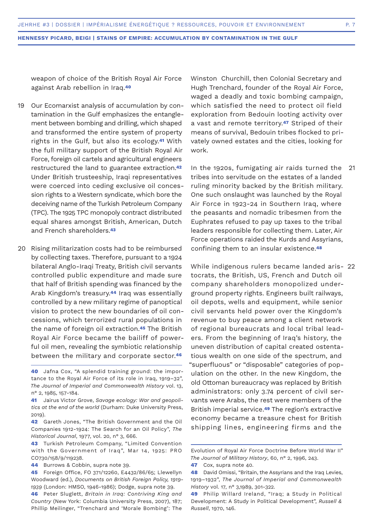weapon of choice of the British Royal Air Force against Arab rebellion in Iraq.**<sup>40</sup>**

- Our Ecomarxist analysis of accumulation by contamination in the Gulf emphasizes the entanglement between bombing and drilling, which shaped and transformed the entire system of property rights in the Gulf, but also its ecology.**41** With the full military support of the British Royal Air Force, foreign oil cartels and agricultural engineers restructured the land to guarantee extraction.**<sup>42</sup>** Under British trusteeship, Iraqi representatives were coerced into ceding exclusive oil concession rights to a Western syndicate, which bore the deceiving name of the Turkish Petroleum Company (TPC). The 1925 TPC monopoly contract distributed equal shares amongst British, American, Dutch and French shareholders.**<sup>43</sup>** 19
- 20 Rising militarization costs had to be reimbursed by collecting taxes. Therefore, pursuant to a 1924 bilateral Anglo-Iraqi Treaty, British civil servants controlled public expenditure and made sure that half of British spending was financed by the Arab Kingdom's treasury.**44** Iraq was essentially controlled by a new military regime of panoptical vision to protect the new boundaries of oil concessions, which terrorized rural populations in the name of foreign oil extraction.**45** The British Royal Air Force became the bailiff of powerful oil men, revealing the symbiotic relationship between the military and corporate sector.**<sup>46</sup>**

**40** Jafna Cox, "A splendid training ground: the importance to the Royal Air Force of its role in Iraq, 1919–32", *The Journal of Imperial and Commonwealth History* vol. 13, n° 2, 1985, 157-184.

**41** Jairus Victor Grove, *Savage ecology: War and geopolitics at the end of the world* (Durham: Duke University Press, 2019).

**42** Gareth Jones, "The British Government and the Oil Companies 1912-1924: The Search for an Oil Policy", *The Historical Journal*, 1977, vol. 20, n° 3, 666.

**43** Turkish Petroleum Company, "Limited Convention with the Government of Iraq", Mar 14, 1925: PRO CO730/158/9/119238.

- **44** Burrows & Cobbin, supra note 39.
- **45** Foreign Office, FO 371/12260, E4432/86/65; Llewellyn Woodward (ed.), *Documents on British Foreign Policy, 1919- 1939* (London: HMSO, 1946-1986); Dodge, supra note 39.
- **46** Peter Sluglett, *Britain in Iraq: Contriving King and Country* (New York: Columbia University Press, 2007), 187; Phillip Meilinger, "Trenchard and 'Morale Bombing': The

Winston Churchill, then Colonial Secretary and Hugh Trenchard, founder of the Royal Air Force, waged a deadly and toxic bombing campaign, which satisfied the need to protect oil field exploration from Bedouin looting activity over a vast and remote territory.**47** Striped of their means of survival, Bedouin tribes flocked to privately owned estates and the cities, looking for work.

In the 1920s, fumigating air raids turned the tribes into servitude on the estates of a landed ruling minority backed by the British military. One such onslaught was launched by the Royal Air Force in 1923-24 in Southern Iraq, where the peasants and nomadic tribesmen from the Euphrates refused to pay up taxes to the tribal leaders responsible for collecting them. Later, Air Force operations raided the Kurds and Assyrians, confining them to an insular existence.**<sup>48</sup>** 21

While indigenous rulers became landed aris-22tocrats, the British, US, French and Dutch oil company shareholders monopolized underground property rights. Engineers built railways, oil depots, wells and equipment, while senior civil servants held power over the Kingdom's revenue to buy peace among a client network of regional bureaucrats and local tribal leaders. From the beginning of Iraq's history, the uneven distribution of capital created ostentatious wealth on one side of the spectrum, and "superfluous" or "disposable" categories of population on the other. In the new Kingdom, the old Ottoman bureaucracy was replaced by British administrators: only 3.74 percent of civil servants were Arabs, the rest were members of the British imperial service.**49** The region's extractive economy became a treasure chest for British shipping lines, engineering firms and the

Evolution of Royal Air Force Doctrine Before World War II" *The Journal of Military History*, 60, n° 2, 1996, 243.

**<sup>47</sup>** Cox, supra note 40.

**<sup>48</sup>** David Omissi, "Britain, the Assyrians and the Iraq Levies, 1919–1932", *The Journal of Imperial and Commonwealth History* vol. 17, n° 3,1989, 301-322.

**<sup>49</sup>** Philip Willard Ireland, "Iraq; a Study in Political Development: A Study in Political Development", *Russell & Russell*, 1970, 146.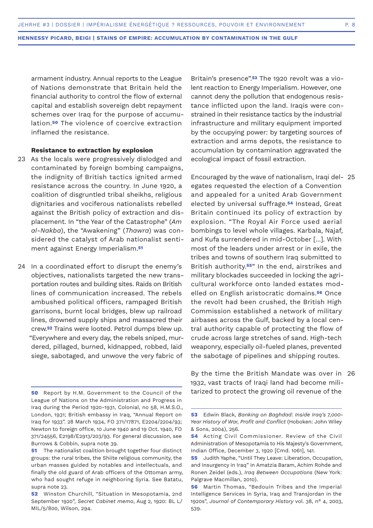armament industry. Annual reports to the League of Nations demonstrate that Britain held the financial authority to control the flow of external capital and establish sovereign debt repayment schemes over Iraq for the purpose of accumulation.**50** The violence of coercive extraction inflamed the resistance.

### **Resistance to extraction by explosion**

- 23 As the locals were progressively dislodged and contaminated by foreign bombing campaigns, the indignity of British tactics ignited armed resistance across the country. In June 1920, a coalition of disgruntled tribal sheikhs, religious dignitaries and vociferous nationalists rebelled against the British policy of extraction and displacement. In "the Year of the Catastrophe" (*Am al-Nakba*), the "Awakening" (*Thawra*) was considered the catalyst of Arab nationalist sentiment against Energy Imperialism.**<sup>51</sup>**
- 24 In a coordinated effort to disrupt the enemy's objectives, nationalists targeted the new transportation routes and building sites. Raids on British lines of communication increased. The rebels ambushed political officers, rampaged British garrisons, burnt local bridges, blew up railroad lines, drowned supply ships and massacred their crew.**52** Trains were looted. Petrol dumps blew up. "Everywhere and every day, the rebels sniped, murdered, pillaged, burned, kidnapped, robbed, laid siege, sabotaged, and unwove the very fabric of

Britain's presence".**53** The 1920 revolt was a violent reaction to Energy Imperialism. However, one cannot deny the pollution that endogenous resistance inflicted upon the land. Iraqis were constrained in their resistance tactics by the industrial infrastructure and military equipment imported by the occupying power: by targeting sources of extraction and arms depots, the resistance to accumulation by contamination aggravated the ecological impact of fossil extraction.

Encouraged by the wave of nationalism, Iraqi del-25 egates requested the election of a Convention and appealed for a united Arab Government elected by universal suffrage.**54** Instead, Great Britain continued its policy of extraction by explosion. "The Royal Air Force used aerial bombings to level whole villages. Karbala, Najaf, and Kufa surrendered in mid-October [...]. With most of the leaders under arrest or in exile, the tribes and towns of southern Iraq submitted to British authority.**55**" In the end, airstrikes and military blockades succeeded in locking the agricultural workforce onto landed estates modelled on English aristocratic domains.**56** Once the revolt had been crushed, the British High Commission established a network of military airbases across the Gulf, backed by a local central authority capable of protecting the flow of crude across large stretches of sand. High-tech weaponry, especially oil-fueled planes, prevented the sabotage of pipelines and shipping routes.

By the time the British Mandate was over in 261932, vast tracts of Iraqi land had become militarized to protect the growing oil revenue of the

**<sup>50</sup>** Report by H.M. Government to the Council of the League of Nations on the Administration and Progress in Iraq during the Period 1920-1931, Colonial, no 58, H.M.S.O., London, 1931; British embassy in Iraq, "Annual Report on Iraq for 1933". 28 March 1934, FO 371/17871, E2204/2204/93; Newton to foreign office, 10 June 1940 and 19 Oct. 1940, FO 371/24556, E2198/E2913/203/93. For general discussion, see Burrows & Cobbin, supra note 39.

**<sup>51</sup>** The nationalist coalition brought together four distinct groups: the rural tribes, the Shiite religious community, the urban masses guided by notables and intellectuals, and finally the old guard of Arab officers of the Ottoman army, who had sought refuge in neighboring Syria. See Batatu, supra note 23.

**<sup>52</sup>** Winston Churchill, "Situation in Mesopotamia, 2nd September 1920", *Secret Cabinet memo*, Aug 2, 1920: BL L/ MIL/5/800, Wilson, 294.

**<sup>53</sup>** Edwin Black, *Banking on Baghdad: Inside Iraq's 7,000- Year History of War, Profit and Conflict* (Hoboken: John Wiley & Sons, 2004), 256.

**<sup>54</sup>** Acting Civil Commissioner. Review of the Civil Administration of Mesopotamia to His Majesty's Government, Indian Office, December 3, 1920 [Cmd. 1061], 141.

**<sup>55</sup>** Judith Yaphe, "Until They Leave: Liberation, Occupation, and Insurgency in Iraq" in Amatzia Baram, Achim Rohde and Ronen Zeidel (eds.), *Iraq Between Occupations* (New York: Palgrave Macmillan, 2010).

**<sup>56</sup>** Martin Thomas, "Bedouin Tribes and the Imperial Intelligence Services in Syria, Iraq and Transjordan in the 1920s", *Journal of Contemporary History* vol. 38, n° 4, 2003, 539.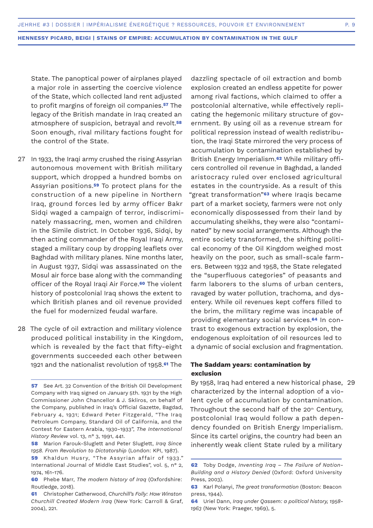State. The panoptical power of airplanes played a major role in asserting the coercive violence of the State, which collected land rent adjusted to profit margins of foreign oil companies.**57** The legacy of the British mandate in Iraq created an atmosphere of suspicion, betrayal and revolt.**<sup>58</sup>** Soon enough, rival military factions fought for the control of the State.

- In 1933, the Iraqi army crushed the rising Assyrian 27 autonomous movement with British military support, which dropped a hundred bombs on Assyrian positions.**59** To protect plans for the construction of a new pipeline in Northern Iraq, ground forces led by army officer Bakr Sidqi waged a campaign of terror, indiscriminately massacring, men, women and children in the Simile district. In October 1936, Sidai, by then acting commander of the Royal Iraqi Army, staged a military coup by dropping leaflets over Baghdad with military planes. Nine months later, in August 1937, Sidqi was assassinated on the Mosul air force base along with the commanding officer of the Royal Iraqi Air Force.**60** The violent history of postcolonial Iraq shows the extent to which British planes and oil revenue provided the fuel for modernized feudal warfare.
- 28 The cycle of oil extraction and military violence produced political instability in the Kingdom, which is revealed by the fact that fifty-eight governments succeeded each other between 1921 and the nationalist revolution of 1958.**61** The

dazzling spectacle of oil extraction and bomb explosion created an endless appetite for power among rival factions, which claimed to offer a postcolonial alternative, while effectively replicating the hegemonic military structure of government. By using oil as a revenue stream for political repression instead of wealth redistribution, the Iraqi State mirrored the very process of accumulation by contamination established by British Energy Imperialism.**62** While military officers controlled oil revenue in Baghdad, a landed aristocracy ruled over enclosed agricultural estates in the countryside. As a result of this "great transformation"**63** where Iraqis became part of a market society, farmers were not only economically dispossessed from their land by accumulating sheikhs, they were also "contaminated" by new social arrangements. Although the entire society transformed, the shifting political economy of the Oil Kingdom weighed most heavily on the poor, such as small-scale farmers. Between 1932 and 1958, the State relegated the "superfluous categories" of peasants and farm laborers to the slums of urban centers, ravaged by water pollution, trachoma, and dysentery. While oil revenues kept coffers filled to the brim, the military regime was incapable of providing elementary social services.**64** In contrast to exogenous extraction by explosion, the endogenous exploitation of oil resources led to a dynamic of social exclusion and fragmentation.

# **The Saddam years: contamination by exclusion**

By 1958, Iraq had entered a new historical phase, 29characterized by the internal adoption of a violent cycle of accumulation by contamination. Throughout the second half of the  $20<sup>th</sup>$  Century, postcolonial Iraq would follow a path dependency founded on British Energy Imperialism. Since its cartel origins, the country had been an inherently weak client State ruled by a military

**<sup>57</sup>** See Art. 32 Convention of the British Oil Development Company with Iraq signed on January 5th. 1931 by the High Commissioner John Chancellor & J. Skliros, on behalf of the Company, published in Iraq's Official Gazette, Bagdad, February 4, 1931; Edward Peter Fitzgerald, "The Iraq Petroleum Company, Standard Oil of California, and the Contest for Eastern Arabia, 1930-1933", *The International History Review* vol. 13, n° 3, 1991, 441.

**<sup>58</sup>** Marion Farouk-Sluglett and Peter Sluglett, *Iraq Since 1958. From Revolution to Dictatorship* (London: KPI, 1987).

<sup>59</sup> Khaldun Husry, "The Assyrian affair of 1933." International Journal of Middle East Studies", vol. 5, n° 2, 1974, 161-176.

**<sup>60</sup>** Phebe Marr, *The modern history of Iraq* (Oxfordshire: Routledge, 2018).

**<sup>61</sup>** Christopher Catherwood, *Churchill's Folly: How Winston Churchill Created Modern Iraq* (New York: Carroll & Graf, 2004), 221.

**<sup>62</sup>** Toby Dodge, *Inventing Iraq – The Failure of Nation-Building and a History Denied* (Oxford: Oxford University Press, 2003).

**<sup>63</sup>** Karl Polanyi, *The great transformation* (Boston: Beacon press, 1944).

**<sup>64</sup>** Uriel Dann, *Iraq under Qassem: a political history, 1958- 1963* (New York: Praeger, 1969), 5.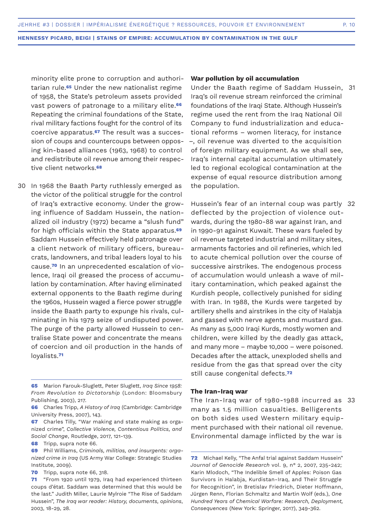minority elite prone to corruption and authoritarian rule.**65** Under the new nationalist regime of 1958, the State's petroleum assets provided vast powers of patronage to a military elite.**<sup>66</sup>** Repeating the criminal foundations of the State, rival military factions fought for the control of its coercive apparatus.**67** The result was a succession of coups and countercoups between opposing kin-based alliances (1963, 1968) to control and redistribute oil revenue among their respective client networks.**<sup>68</sup>**

In 1968 the Baath Party ruthlessly emerged as 30 the victor of the political struggle for the control of Iraq's extractive economy. Under the growing influence of Saddam Hussein, the nationalized oil industry (1972) became a "slush fund" for high officials within the State apparatus.**<sup>69</sup>** Saddam Hussein effectively held patronage over a client network of military officers, bureaucrats, landowners, and tribal leaders loyal to his cause.**70** In an unprecedented escalation of violence, Iraqi oil greased the process of accumulation by contamination. After having eliminated external opponents to the Baath regime during the 1960s, Hussein waged a fierce power struggle inside the Baath party to expunge his rivals, culminating in his 1979 seize of undisputed power. The purge of the party allowed Hussein to centralise State power and concentrate the means of coercion and oil production in the hands of loyalists.**<sup>71</sup>**

**70** Tripp, supra note 66, 318.

### **War pollution by oil accumulation**

Under the Baath regime of Saddam Hussein, 31 Iraq's oil revenue stream reinforced the criminal foundations of the Iraqi State. Although Hussein's regime used the rent from the Iraq National Oil Company to fund industrialization and educational reforms – women literacy, for instance –, oil revenue was diverted to the acquisition of foreign military equipment. As we shall see, Iraq's internal capital accumulation ultimately led to regional ecological contamination at the expense of equal resource distribution among the population.

Hussein's fear of an internal coup was partly 32 deflected by the projection of violence outwards, during the 1980-88 war against Iran, and in 1990-91 against Kuwait. These wars fueled by oil revenue targeted industrial and military sites, armaments factories and oil refineries, which led to acute chemical pollution over the course of successive airstrikes. The endogenous process of accumulation would unleash a wave of military contamination, which peaked against the Kurdish people, collectively punished for siding with Iran. In 1988, the Kurds were targeted by artillery shells and airstrikes in the city of Halabja and gassed with nerve agents and mustard gas. As many as 5,000 Iraqi Kurds, mostly women and children, were killed by the deadly gas attack, and many more – maybe 10,000 – were poisoned. Decades after the attack, unexploded shells and residue from the gas that spread over the city still cause congenital defects.**<sup>72</sup>**

### **The Iran-Iraq war**

The Iran-Iraq war of 1980-1988 incurred as 33many as 1.5 million casualties. Belligerents on both sides used Western military equipment purchased with their national oil revenue. Environmental damage inflicted by the war is

**<sup>65</sup>** Marion Farouk-Sluglett, Peter Sluglett, *Iraq Since 1958: From Revolution to Dictatorship* (London: Bloomsbury Publishing, 2003), 217.

**<sup>66</sup>** Charles Tripp, *A History of Iraq* (Cambridge: Cambridge University Press, 2007), 143.

**<sup>67</sup>** Charles Tilly, "War making and state making as organized crime", *Collective Violence, Contentious Politics, and Social Change*, Routledge, 2017, 121-139.

**<sup>68</sup>** Tripp, supra note 66.

**<sup>69</sup>** Phil Williams, *Criminals, militias, and insurgents: organized crime in Iraq* (US Army War College: Strategic Studies Institute, 2009).

**<sup>71</sup>** "From 1920 until 1979, Iraq had experienced thirteen coups d'état. Saddam was determined that this would be the last." Judith Miller, Laurie Mylroie "The Rise of Saddam Hussein", *The Iraq war reader: History, documents, opinions*, 2003, 18-29, 28.

**<sup>72</sup>** Michael Kelly, "The Anfal trial against Saddam Hussein" *Journal of Genocide Research* vol. 9, n° 2, 2007, 235-242; Karin Mlodoch, "The Indelible Smell of Apples: Poison Gas Survivors in Halabja, Kurdistan-Iraq, and Their Struggle for Recognition", in Bretislav Friedrich, Dieter Hoffmann, Jürgen Renn, Florian Schmaltz and Martin Wolf (eds.), *One Hundred Years of Chemical Warfare: Research, Deployment, Consequences* (New York: Springer, 2017), 349-362.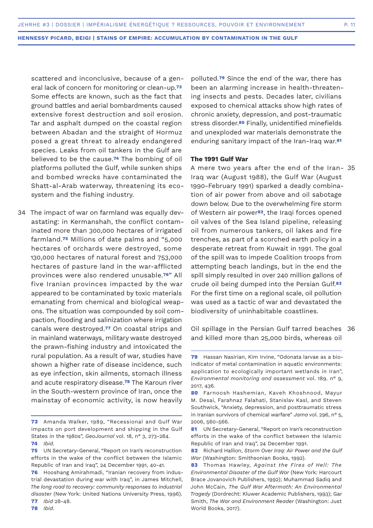scattered and inconclusive, because of a general lack of concern for monitoring or clean-up.**<sup>73</sup>** Some effects are known, such as the fact that ground battles and aerial bombardments caused extensive forest destruction and soil erosion. Tar and asphalt dumped on the coastal region between Abadan and the straight of Hormuz posed a great threat to already endangered species. Leaks from oil tankers in the Gulf are believed to be the cause.**74** The bombing of oil platforms polluted the Gulf, while sunken ships and bombed wrecks have contaminated the Shatt-al-Arab waterway, threatening its ecosystem and the fishing industry.

34 The impact of war on farmland was equally devastating: in Kermanshah, the conflict contaminated more than 300,000 hectares of irrigated farmland.**75** Millions of date palms and "5,000 hectares of orchards were destroyed, some 130,000 hectares of natural forest and 753,000 hectares of pasture land in the war-afflicted provinces were also rendered unusable.**76**" All five Iranian provinces impacted by the war appeared to be contaminated by toxic materials emanating from chemical and biological weapons. The situation was compounded by soil compaction, flooding and salinization where irrigation canals were destroyed.**77** On coastal strips and in mainland waterways, military waste destroyed the prawn-fishing industry and intoxicated the rural population. As a result of war, studies have shown a higher rate of disease incidence, such as eye infection, skin ailments, stomach illness and acute respiratory disease.**78** The Karoun river in the South-western province of Iran, once the mainstay of economic activity, is now heavily

polluted.**79** Since the end of the war, there has been an alarming increase in health-threatening insects and pests. Decades later, civilians exposed to chemical attacks show high rates of chronic anxiety, depression, and post-traumatic stress disorder.**80** Finally, unidentified minefields and unexploded war materials demonstrate the enduring sanitary impact of the Iran-Iraq war.**<sup>81</sup>**

### **The 1991 Gulf War**

A mere two years after the end of the Iran-35 Iraq war (August 1988), the Gulf War (August 1990-February 1991) sparked a deadly combination of air power from above and oil sabotage down below. Due to the overwhelming fire storm of Western air power**82**, the Iraqi forces opened oil valves of the Sea Island pipeline, releasing oil from numerous tankers, oil lakes and fire trenches, as part of a scorched earth policy in a desperate retreat from Kuwait in 1991. The goal of the spill was to impede Coalition troops from attempting beach landings, but in the end the spill simply resulted in over 240 million gallons of crude oil being dumped into the Persian Gulf.**<sup>83</sup>** For the first time on a regional scale, oil pollution was used as a tactic of war and devastated the biodiversity of uninhabitable coastlines.

Oil spillage in the Persian Gulf tarred beaches 36and killed more than 25,000 birds, whereas oil

**<sup>73</sup>** Amanda Walker, 1989, "Recessional and Gulf War impacts on port development and shipping in the Gulf States in the 1980s", *GeoJournal* vol. 18, n° 3, 273-284. **74** *Ibid*.

**<sup>75</sup>** UN Secretary-General, "Report on Iran's reconstruction efforts in the wake of the conflict between the Islamic Republic of Iran and Iraq", 24 December 1991, 40-41.

**<sup>76</sup>** Hooshang Amirahmadi, "Iranian recovery from industrial devastation during war with Iraq", in James Mitchell, *The long road to recovery: community responses to industrial disaster* (New York: United Nations University Press, 1996). **77** *Ibid* 28-48.

**<sup>79</sup>** Hassan Nasirian, Kim Irvine, "Odonata larvae as a bioindicator of metal contamination in aquatic environments: application to ecologically important wetlands in Iran", *Environmental monitoring and assessment* vol. 189. n° 9, 2017, 436.

**<sup>80</sup>** Farnoosh Hashemian, Kaveh Khoshnood, Mayur M. Desai, Farahnaz Falahati, Stanislav Kasl, and Steven Southwick, "Anxiety, depression, and posttraumatic stress in Iranian survivors of chemical warfare" *Jama* vol. 296, n° 5, 2006, 560-566.

**<sup>81</sup>** UN Secretary-General, "Report on Iran's reconstruction efforts in the wake of the conflict between the Islamic Republic of Iran and Iraq", 24 December 1991.

**<sup>82</sup>** Richard Hallion, *Storm Over Iraq: Air Power and the Gulf War* (Washington: Smithsonian Books, 1992).

**<sup>83</sup>** Thomas Hawley, *Against the Fires of Hell: The Environmental Disaster of the Gulf War* (New York: Harcourt Brace Jovanovich Publishers, 1992); Muhammad Sadiq and John McCain, *The Gulf War Aftermath: An Environmental Tragedy* (Dordrecht: Kluwer Academic Publishers, 1993); Gar Smith, *The War and Environment Reader* (Washington: Just World Books, 2017).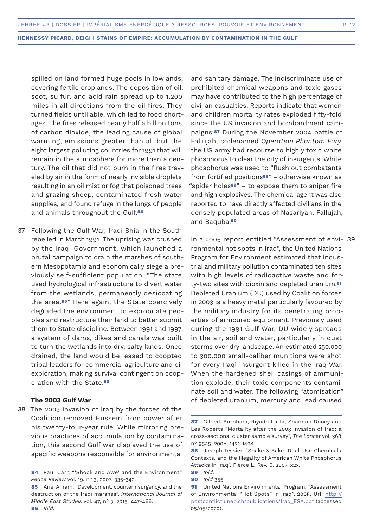spilled on land formed huge pools in lowlands, covering fertile croplands. The deposition of oil, soot, sulfur, and acid rain spread up to 1,200 miles in all directions from the oil fires. They turned fields untillable, which led to food shortages. The fires released nearly half a billion tons of carbon dioxide, the leading cause of global warming, emissions greater than all but the eight largest polluting countries for 1991 that will remain in the atmosphere for more than a century. The oil that did not burn in the fires traveled by air in the form of nearly invisible droplets resulting in an oil mist or fog that poisoned trees and grazing sheep, contaminated fresh water supplies, and found refuge in the lungs of people and animals throughout the Gulf.**<sup>84</sup>**

37 Following the Gulf War, Iraqi Shia in the South rebelled in March 1991. The uprising was crushed by the Iraqi Government, which launched a brutal campaign to drain the marshes of southern Mesopotamia and economically siege a previously self-sufficient population. "The state used hydrological infrastructure to divert water from the wetlands, permanently desiccating the area.**85**" Here again, the State coercively degraded the environment to expropriate peoples and restructure their land to better submit them to State discipline. Between 1991 and 1997, a system of dams, dikes and canals was built to turn the wetlands into dry, salty lands. Once drained, the land would be leased to coopted tribal leaders for commercial agriculture and oil exploration, making survival contingent on cooperation with the State.**<sup>86</sup>**

# **The 2003 Gulf War**

38 The 2003 invasion of Iraq by the forces of the Coalition removed Hussein from power after his twenty-four-year rule. While mirroring previous practices of accumulation by contamination, this second Gulf war displayed the use of specific weapons responsible for environmental

and sanitary damage. The indiscriminate use of prohibited chemical weapons and toxic gases may have contributed to the high percentage of civilian casualties. Reports indicate that women and children mortality rates exploded fifty-fold since the US invasion and bombardment campaigns.**87** During the November 2004 battle of Fallujah, codenamed *Operation Phantom Fury*, the US army had recourse to highly toxic white phosphorus to clear the city of insurgents. White phosphorus was used to "flush out combatants from fortified positions**88**" – otherwise known as "spider holes**89**" – to expose them to sniper fire and high explosives. The chemical agent was also reported to have directly affected civilians in the densely populated areas of Nasariyah, Fallujah, and Baquba.**<sup>90</sup>**

In a 2005 report entitled "Assessment of envi-39ronmental hot spots in Iraq", the United Nations Program for Environment estimated that industrial and military pollution contaminated ten sites with high levels of radioactive waste and forty-two sites with dioxin and depleted uranium.**<sup>91</sup>** Depleted Uranium (DU) used by Coalition forces in 2003 is a heavy metal particularly favoured by the military industry for its penetrating properties of armoured equipment. Previously used during the 1991 Gulf War, DU widely spreads in the air, soil and water, particularly in dust storms over dry landscape. An estimated 250.000 to 300.000 small-caliber munitions were shot for every Iraqi insurgent killed in the Iraq War. When the hardened shell casings of ammunition explode, their toxic components contaminate soil and water. The following "atomisation" of depleted uranium, mercury and lead caused

<sup>84</sup> Paul Carr, "'Shock and Awe' and the Environment", *Peace Review* vol. 19, n° 3, 2007, 335-342.

**<sup>85</sup>** Ariel Ahram, "Development, counterinsurgency, and the destruction of the Iraqi marshes", *International Journal of Middle East Studies* vol. 47, n° 3, 2015, 447-466. **86** *Ibid*.

**<sup>87</sup>** Gilbert Burnham, Riyadh Lafta, Shannon Doocy and Les Roberts "Mortality after the 2003 invasion of Iraq: a cross-sectional cluster sample survey", *The Lancet* vol. 368, n° 9545, 2006, 1421-1428.

**<sup>88</sup>** Joseph Tessier, "Shake & Bake: Dual-Use Chemicals, Contexts, and the Illegality of American White Phosphorus Attacks in Iraq", Pierce L. Rev. 6, 2007, 323.

**<sup>89</sup>** *Ibid*.

**<sup>90</sup>** *Ibid* 355.

**<sup>91</sup>** United Nations Environmental Program, "Assessment of Environmental "Hot Spots" in Iraq", 2005, Url: http:// postconflict.unep.ch/publications/Iraq\_ESA.pdf (accessed 05/05/2020).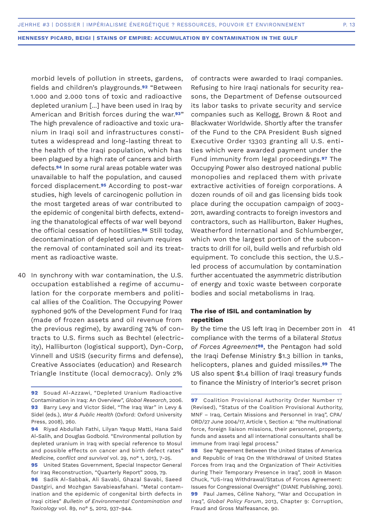morbid levels of pollution in streets, gardens, fields and children's playgrounds.**92** "Between 1.000 and 2.000 tons of toxic and radioactive depleted uranium [...] have been used in Iraq by American and British forces during the war.**93**" The high prevalence of radioactive and toxic uranium in Iraqi soil and infrastructures constitutes a widespread and long-lasting threat to the health of the Iraqi population, which has been plagued by a high rate of cancers and birth defects.**94** In some rural areas potable water was unavailable to half the population, and caused forced displacement.**95** According to post-war studies, high levels of carcinogenic pollution in the most targeted areas of war contributed to the epidemic of congenital birth defects, extending the thanatological effects of war well beyond the official cessation of hostilities.**96** Still today, decontamination of depleted uranium requires the removal of contaminated soil and its treatment as radioactive waste.

40 In synchrony with war contamination, the U.S. occupation established a regime of accumulation for the corporate members and political allies of the Coalition. The Occupying Power syphoned 90% of the Development Fund for Iraq (made of frozen assets and oil revenue from the previous regime), by awarding 74% of contracts to U.S. firms such as Bechtel (electricity), Halliburton (logistical support), Dyn-Corp, Vinnell and USIS (security firms and defense), Creative Associates (education) and Research Triangle Institute (local democracy). Only 2%

of contracts were awarded to Iraqi companies. Refusing to hire Iraqi nationals for security reasons, the Department of Defense outsourced its labor tasks to private security and service companies such as Kellogg, Brown & Root and Blackwater Worldwide. Shortly after the transfer of the Fund to the CPA President Bush signed Executive Order 13303 granting all U.S. entities which were awarded payment under the Fund immunity from legal proceedings.**97** The Occupying Power also destroyed national public monopolies and replaced them with private extractive activities of foreign corporations. A dozen rounds of oil and gas licensing bids took place during the occupation campaign of 2003- 2011, awarding contracts to foreign investors and contractors, such as Halliburton, Baker Hughes, Weatherford International and Schlumberger, which won the largest portion of the subcontracts to drill for oil, build wells and refurbish old equipment. To conclude this section, the U.S. led process of accumulation by contamination further accentuated the asymmetric distribution of energy and toxic waste between corporate bodies and social metabolisms in Iraq.

# **The rise of ISIL and contamination by repetition**

By the time the US left Iraq in December 2011 in compliance with the terms of a bilateral *Status of Forces Agreement***98**, the Pentagon had sold the Iraqi Defense Ministry \$1.3 billion in tanks, helicopters, planes and guided missiles.**99** The US also spent \$1.4 billion of Iraqi treasury funds to finance the Ministry of Interior's secret prison 41

**98** See "Agreement Between the United States of America and Republic of Iraq On the Withdrawal of United States Forces from Iraq and the Organization of Their Activities during Their Temporary Presence in Iraq", 2008 in Mason Chuck, "US-Iraq Withdrawal/Status of Forces Agreement: Issues for Congressional Oversight" (DIANE Publishing, 2010). **99** Paul James, Céline Nahory, "War and Occupation in Iraq", *Global Policy Forum*, 2013, Chapter 9: Corruption, Fraud and Gross Malfeasance, 90.

**<sup>92</sup>** Souad Al-Azzawi, "Depleted Uranium Radioactive Contamination in Iraq: An Overview", *Global Research*, 2006. **93** Barry Levy and Victor Sidel, "The Iraq War" in Levy & Sidel (eds.), *War & Public Health* (Oxford: Oxford University Press, 2008), 260.

**<sup>94</sup>** Riyad Abdullah Fathi, Lilyan Yaqup Matti, Hana Said Al-Salih, and Douglas Godbold. "Environmental pollution by depleted uranium in Iraq with special reference to Mosul and possible effects on cancer and birth defect rates" *Medicine, conflict and survival* vol. 29, no° 1, 2013, 7-25.

**<sup>95</sup>** United States Government, Special Inspector General for Iraq Reconstruction, "Quarterly Report" 2009, 79.

**<sup>96</sup>** Sadik Al-Sabbak, Ali Savabi, Ghazal Savabi, Saeed Dastgiri, and Mozhgan Savabieasfahani. "Metal contamination and the epidemic of congenital birth defects in Iraqi cities" *Bulletin of Environmental Contamination and Toxicology* vol. 89, no° 5, 2012, 937-944.

**<sup>97</sup>** Coalition Provisional Authority Order Number 17 (Revised), "Status of the Coalition Provisional Authority, MNF – Iraq, Certain Missions and Personnel in Iraq", CPA/ ORD/27 June 2004/17, Article 1, Section 4: "the multinational force, foreign liaison missions, their personnel, property, funds and assets and all international consultants shall be immune from Iraqi legal process."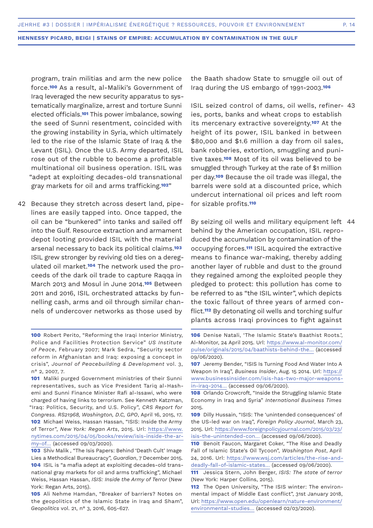program, train militias and arm the new police force.**100** As a result, al-Maliki's Government of Iraq leveraged the new security apparatus to systematically marginalize, arrest and torture Sunni elected officials.**101** This power imbalance, sowing the seed of Sunni resentment, coincided with the growing instability in Syria, which ultimately led to the rise of the Islamic State of Iraq & the Levant (ISIL). Once the U.S. Army departed, ISIL rose out of the rubble to become a profitable multinational oil business operation. ISIL was "adept at exploiting decades-old transnational gray markets for oil and arms trafficking.**102**"

42 Because they stretch across desert land, pipelines are easily tapped into. Once tapped, the oil can be "bunkered" into tanks and sailed off into the Gulf. Resource extraction and armament depot looting provided ISIL with the material arsenal necessary to back its political claims.**<sup>103</sup>** ISIL grew stronger by reviving old ties on a deregulated oil market.**104** The network used the proceeds of the dark oil trade to capture Raqqa in March 2013 and Mosul in June 2014.**105** Between 2011 and 2016, ISIL orchestrated attacks by funnelling cash, arms and oil through similar channels of undercover networks as those used by

the Baath shadow State to smuggle oil out of Iraq during the US embargo of 1991-2003.**<sup>106</sup>**

ISIL seized control of dams, oil wells, refiner-43 ies, ports, banks and wheat crops to establish its mercenary extractive sovereignty.**107** At the height of its power, ISIL banked in between \$80,000 and \$1.6 million a day from oil sales, bank robberies, extortion, smuggling and punitive taxes.**108** Most of its oil was believed to be smuggled through Turkey at the rate of \$1 million per day.**109** Because the oil trade was illegal, the barrels were sold at a discounted price, which undercut international oil prices and left room for sizable profits.**<sup>110</sup>**

By seizing oil wells and military equipment left 44behind by the American occupation, ISIL reproduced the accumulation by contamination of the occupying forces.**111** ISIL acquired the extractive means to finance war-making, thereby adding another layer of rubble and dust to the ground they regained among the exploited people they pledged to protect: this pollution has come to be referred to as "the ISIL winter", which depicts the toxic fallout of three years of armed conflict.**112** By detonating oil wells and torching sulfur plants across Iraqi provinces to fight against

**<sup>100</sup>** Robert Perito, "Reforming the Iraqi Interior Ministry, Police and Facilities Protection Service" *US Institute of Peace*, February 2007; Mark Sedra, "Security sector reform in Afghanistan and Iraq: exposing a concept in crisis", *Journal of Peacebuilding & Development* vol. 3, n° 2, 2007, 7.

**<sup>101</sup>** Maliki purged Government ministries of their Sunni representatives, such as Vice President Tariq al-Hashemi and Sunni Finance Minister Rafi al-Issawi, who were charged of having links to terrorism. See Kenneth Katzman, "Iraq: Politics, Security, and U.S. Policy", *CRS Report for Congress. RS21968, Washington, D.C, GPO*, April 16, 2015, 17. **102** Michael Weiss, Hassan Hassan, "ISIS: Inside the Army of Terror", *New York: Regan Arts*, 2015. Url: https://www. nytimes.com/2015/04/05/books/review/isis-inside-the-army-of… (accessed 09/03/2020).

**<sup>103</sup>** Shiv Malik , "The Isis Papers: Behind 'Death Cult' Image Lies a Methodical Bureaucracy", *Guardian*, 7 December 2015. **104** ISIL is "a mafia adept at exploiting decades-old transnational gray markets for oil and arms trafficking", Michael Weiss, Hassan Hassan, *ISIS: Inside the Army of Terror* (New York: Regan Arts, 2015).

**<sup>105</sup>** Ali Nehme Hamdan, "Breaker of barriers? Notes on the geopolitics of the Islamic State in Iraq and Sham", *Geopolitics* vol. 21, n° 3, 2016, 605-627.

**<sup>106</sup>** Denise Natali, 'The Islamic State's Baathist Roots.', Al-Monitor, 24 April 2015. Url: https://www.al-monitor.com/ pulse/originals/2015/04/baathists-behind-the… (accessed 09/06/2020).

**<sup>107</sup>** Jeremy Bender, "ISIS Is Turning Food And Water Into A Weapon In Iraq", *Business Insider*, Aug. 15 2014. Url: https:// www.businessinsider.com/isis-has-two-major-weaponsin-iraq-2014… (accessed 09/06/2020).

**<sup>108</sup>** Orlando Crowcroft, "Inside the Struggling Islamic State Economy in Iraq and Syria" *International Business Times* 2015.

**<sup>109</sup>** Dilly Hussain, "ISIS: The 'unintended consequences' of the US-led war on Iraq", *Foreign Policy Journal*, March 23, 2015. Url: https://www.foreignpolicyjournal.com/2015/03/23/ isis-the-unintended-con… (accessed 09/06/2020).

**<sup>110</sup>** Benoit Faucon, Margaret Coker, "The Rise and Deadly Fall of Islamic State's Oil Tycoon", *Washington Post*, April 24, 2016. Url: https://www.wsj.com/articles/the-rise-anddeadly-fall-of-islamic-states… (accessed 09/06/2020).

**<sup>111</sup>** Jessica Stern, John Berger, *ISIS: The state of terror*  (New York: Harper Collins, 2015).

**<sup>112</sup>** The Open University, "The ISIS winter: The environmental impact of Middle East conflict", 31st January 2018, Url: https://www.open.edu/openlearn/nature-environment/ environmental-studies… (accessed 02/03/2020).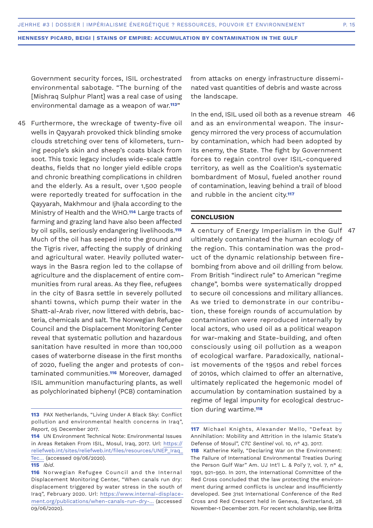Government security forces, ISIL orchestrated environmental sabotage. "The burning of the [Mishraq Sulphur Plant] was a real case of using environmental damage as a weapon of war.**113**"

45 Furthermore, the wreckage of twenty-five oil wells in Qayyarah provoked thick blinding smoke clouds stretching over tens of kilometers, turning people's skin and sheep's coats black from soot. This toxic legacy includes wide-scale cattle deaths, fields that no longer yield edible crops and chronic breathing complications in children and the elderly. As a result, over 1,500 people were reportedly treated for suffocation in the Qayyarah, Makhmour and Ijhala according to the Ministry of Health and the WHO.**114** Large tracts of farming and grazing land have also been affected by oil spills, seriously endangering livelihoods.**<sup>115</sup>** Much of the oil has seeped into the ground and the Tigris river, affecting the supply of drinking and agricultural water. Heavily polluted waterways in the Basra region led to the collapse of agriculture and the displacement of entire communities from rural areas. As they flee, refugees in the city of Basra settle in severely polluted shanti towns, which pump their water in the Shatt-al-Arab river, now littered with debris, bacteria, chemicals and salt. The Norwegian Refugee Council and the Displacement Monitoring Center reveal that systematic pollution and hazardous sanitation have resulted in more than 100,000 cases of waterborne disease in the first months of 2020, fueling the anger and protests of contaminated communities.**116** Moreover, damaged ISIL ammunition manufacturing plants, as well as polychlorinated biphenyl (PCB) contamination

**115** *Ibid*.

from attacks on energy infrastructure disseminated vast quantities of debris and waste across the landscape.

In the end, ISIL used oil both as a revenue stream 46 and as an environmental weapon. The insurgency mirrored the very process of accumulation by contamination, which had been adopted by its enemy, the State. The fight by Government forces to regain control over ISIL-conquered territory, as well as the Coalition's systematic bombardment of Mosul, fueled another round of contamination, leaving behind a trail of blood and rubble in the ancient city.**<sup>117</sup>**

### **CONCLUSION**

A century of Energy Imperialism in the Gulf ultimately contaminated the human ecology of the region. This contamination was the product of the dynamic relationship between firebombing from above and oil drilling from below. From British "indirect rule" to American "regime change", bombs were systematically dropped to secure oil concessions and military alliances. As we tried to demonstrate in our contribution, these foreign rounds of accumulation by contamination were reproduced internally by local actors, who used oil as a political weapon for war-making and State-building, and often consciously using oil pollution as a weapon of ecological warfare. Paradoxically, nationalist movements of the 1950s and rebel forces of 2010s, which claimed to offer an alternative, ultimately replicated the hegemonic model of accumulation by contamination sustained by a regime of legal impunity for ecological destruction during wartime.**<sup>118</sup>** 47

**<sup>113</sup>** PAX Netherlands, "Living Under A Black Sky: Conflict pollution and environmental health concerns in Iraq", *Report*, 05 December 2017.

**<sup>114</sup>** UN Environment Technical Note: Environmental Issues in Areas Retaken From ISIL, Mosul, Iraq, 2017. Url: https:// reliefweb.int/sites/reliefweb.int/files/resources/UNEP\_Iraq\_ Tec… (accessed 09/06/2020).

**<sup>116</sup>** Norwegian Refugee Council and the Internal Displacement Monitoring Center, "When canals run dry: displacement triggered by water stress in the south of Iraq", February 2020. Url: https://www.internal-displacement.org/publications/when-canals-run-dry-… (accessed 09/06/2020).

**<sup>117</sup>** Michael Knights, Alexander Mello, "Defeat by Annihilation: Mobility and Attrition in the Islamic State's Defense of Mosul", *CTC Sentinel* vol. 10, n° 43. 2017.

**<sup>118</sup>** Katherine Kelly, "Declaring War on the Environment: The Failure of International Environmental Treaties During the Person Gulf War" Am. UJ Int'l L. & Pol'y 7, vol. 7, n° 4, 1991, 921-950. In 2011, the International Committee of the Red Cross concluded that the law protecting the environment during armed conflicts is unclear and insufficiently developed. See 31st International Conference of the Red Cross and Red Crescent held in Geneva, Switzerland, 28 November-1 December 2011. For recent scholarship, see Britta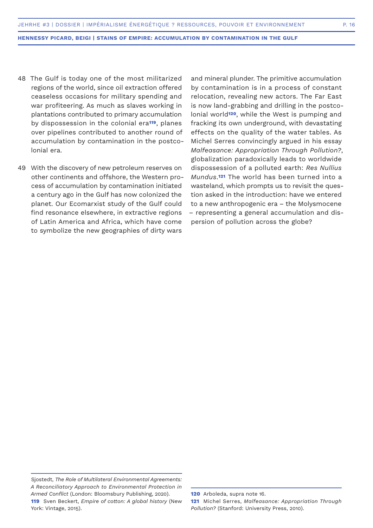- The Gulf is today one of the most militarized 48 regions of the world, since oil extraction offered ceaseless occasions for military spending and war profiteering. As much as slaves working in plantations contributed to primary accumulation by dispossession in the colonial era**119**, planes over pipelines contributed to another round of accumulation by contamination in the postcolonial era.
- With the discovery of new petroleum reserves on 49other continents and offshore, the Western process of accumulation by contamination initiated a century ago in the Gulf has now colonized the planet. Our Ecomarxist study of the Gulf could find resonance elsewhere, in extractive regions of Latin America and Africa, which have come to symbolize the new geographies of dirty wars

and mineral plunder. The primitive accumulation by contamination is in a process of constant relocation, revealing new actors. The Far East is now land-grabbing and drilling in the postcolonial world**120**, while the West is pumping and fracking its own underground, with devastating effects on the quality of the water tables. As Michel Serres convincingly argued in his essay *Malfeasance: Appropriation Through Pollution?*, globalization paradoxically leads to worldwide dispossession of a polluted earth: *Res Nullius Mundus*.**121** The world has been turned into a wasteland, which prompts us to revisit the question asked in the introduction: have we entered to a new anthropogenic era – the Molysmocene – representing a general accumulation and dispersion of pollution across the globe?

Sjostedt, *The Role of Multilateral Environmental Agreements: A Reconciliatory Approach to Environmental Protection in Armed Conflict* (London: Bloomsbury Publishing, 2020). **119** Sven Beckert, *Empire of cotton: A global history* (New York: Vintage, 2015).

**<sup>120</sup>** Arboleda, supra note 16. **121** Michel Serres, *Malfeasance: Appropriation Through Pollution?* (Stanford: University Press, 2010).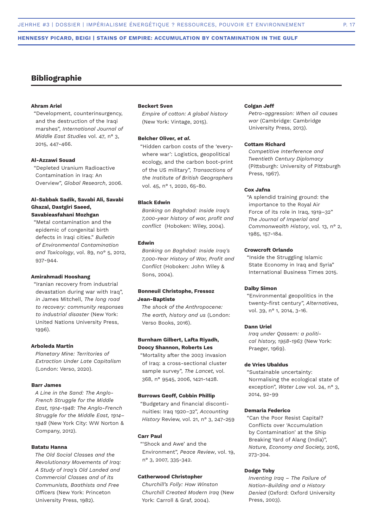# **Bibliographie**

### **Ahram Ariel**

"Development, counterinsurgency, and the destruction of the Iraqi marshes", *International Journal of Middle East Studies* vol. 47, n° 3, 2015, 447-466.

### **Al-Azzawi Souad**

"Depleted Uranium Radioactive Contamination in Iraq: An Overview", *Global Research*, 2006.

### **Al-Sabbak Sadik, Savabi Ali, Savabi Ghazal, Dastgiri Saeed, Savabieasfahani Mozhgan**

"Metal contamination and the epidemic of congenital birth defects in Iraqi cities." *Bulletin of Environmental Contamination and Toxicology*, vol. 89, no° 5, 2012, 937-944.

#### **Amirahmadi Hooshang**

"Iranian recovery from industrial devastation during war with Iraq", *in* James Mitchell, *The long road to recovery: community responses to industrial disaster* (New York: United Nations University Press, 1996).

### **Arboleda Martín**

*Planetary Mine: Territories of Extraction Under Late Capitalism* (London: Verso, 2020).

### **Barr James**

*A Line in the Sand: The Anglo-French Struggle for the Middle East, 1914-1948: The Anglo-French Struggle for the Middle East, 1914– 1948* (New York City: WW Norton & Company, 2012).

### **Batatu Hanna**

*The Old Social Classes and the Revolutionary Movements of Iraq: A Study of Iraq's Old Landed and Commercial Classes and of its Communists, Baathists and Free Officers* (New York: Princeton University Press, 1982).

### **Beckert Sven**

*Empire of cotton: A global history* (New York: Vintage, 2015).

### **Belcher Oliver,** *et al***.**

"Hidden carbon costs of the 'everywhere war': Logistics, geopolitical ecology, and the carbon boot‐print of the US military", *Transactions of the Institute of British Geographers* vol. 45, n° 1, 2020, 65-80.

### **Black Edwin**

*Banking on Baghdad: Inside Iraq's 7,000-year history of war, profit and conflict* (Hoboken: Wiley, 2004).

### **Edwin**

*Banking on Baghdad: Inside Iraq's 7,000-Year History of War, Profit and Conflict* (Hoboken: John Wiley & Sons, 2004).

### **Bonneuil Christophe, Fressoz Jean-Baptiste**

*The shock of the Anthropocene: The earth, history and us* (London: Verso Books, 2016).

### **Burnham Gilbert, Lafta Riyadh, Doocy Shannon, Roberts Les**

"Mortality after the 2003 invasion of Iraq: a cross-sectional cluster sample survey", *The Lancet,* vol. 368, n° 9545, 2006, 1421-1428.

### **Burrows Geoff, Cobbin Phillip**

"Budgetary and financial discontinuities: Iraq 1920–32", *Accounting History* Review, vol. 21, n° 3, 247-259

#### **Carr Paul**

"'Shock and Awe' and the Environment", *Peace Review*, vol. 19, n° 3, 2007, 335-342.

### **Catherwood Christopher**

*Churchill's Folly: How Winston Churchill Created Modern Iraq* (New York: Carroll & Graf, 2004).

### **Colgan Jeff**

*Petro-aggression: When oil causes war* (Cambridge: Cambridge University Press, 2013).

### **Cottam Richard**

*Competitive Interference and Twentieth Century Diplomacy* (Pittsburgh: University of Pittsburgh Press, 1967).

### **Cox Jafna**

"A splendid training ground: the importance to the Royal Air Force of its role in Iraq, 1919–32" *The Journal of Imperial and Commonwealth History*, vol. 13, n° 2, 1985, 157-184.

### **Crowcroft Orlando**

"Inside the Struggling Islamic State Economy in Iraq and Syria" International Business Times 2015.

### **Dalby Simon**

"Environmental geopolitics in the twenty-first century", *Alternatives*, vol. 39, n° 1, 2014, 3-16.

### **Dann Uriel**

*Iraq under Qassem: a political history, 1958-1963* (New York: Praeger, 1969).

### **de Vries Ubaldus**

"Sustainable uncertainty: Normalising the ecological state of exception", *Water Law* vol. 24, n° 3, 2014, 92-99

### **Demaria Federico**

"Can the Poor Resist Capital? Conflicts over 'Accumulation by Contamination' at the Ship Breaking Yard of Alang (India)", *Nature, Economy and Society,* 2016, 273-304.

### **Dodge Toby**

*Inventing Iraq – The Failure of Nation-Building and a History Denied* (Oxford: Oxford University Press, 2003).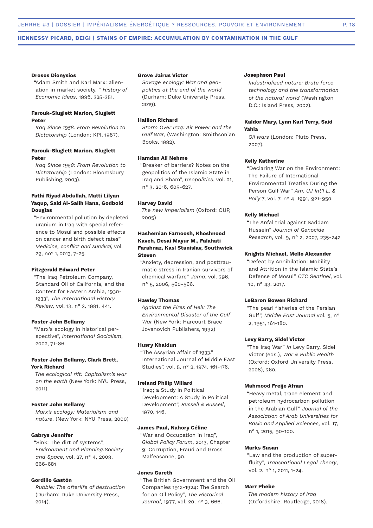#### **Drosos Dionysios**

"Adam Smith and Karl Marx: alienation in market society. " *History of Economic Ideas*, 1996, 325-351.

### **Farouk-Sluglett Marion, Sluglett Peter**

*Iraq Since 1958. From Revolution to Dictatorship* (London: KPI, 1987).

### **Farouk-Sluglett Marion, Sluglett Peter**

*Iraq Since 1958: From Revolution to Dictatorship* (London: Bloomsbury Publishing, 2003).

### **Fathi Riyad Abdullah, Matti Lilyan Yaqup, Said Al-Salih Hana, Godbold Douglas**

"Environmental pollution by depleted uranium in Iraq with special reference to Mosul and possible effects on cancer and birth defect rates" *Medicine, conflict and survival,* vol. 29, no° 1, 2013, 7-25.

### **Fitzgerald Edward Peter**

"The Iraq Petroleum Company, Standard Oil of California, and the Contest for Eastern Arabia, 1930- 1933", *The International History Review*, vol. 13, n° 3, 1991, 441.

#### **Foster John Bellamy**

"Marx's ecology in historical perspective", *International Socialism*, 2002, 71-86.

### **Foster John Bellamy, Clark Brett, York Richard**

*The ecological rift: Capitalism's war on the earth* (New York: NYU Press, 2011).

### **Foster John Bellamy**

*Marx's ecology: Materialism and nature*. (New York: NYU Press, 2000)

#### **Gabrys Jennifer**

"Sink: The dirt of systems", *Environment and Planning:Society and Space*, vol. 27, n° 4, 2009, 666-681

#### **Gordillo Gastón**

*Rubble: The afterlife of destruction* (Durham: Duke University Press, 2014).

### **Grove Jairus Victor**

*Savage ecology: War and geopolitics at the end of the world* (Durham: Duke University Press, 2019).

### **Hallion Richard**

*Storm Over Iraq: Air Power and the Gulf War*, (Washington: Smithsonian Books, 1992).

### **Hamdan Ali Nehme**

"Breaker of barriers? Notes on the geopolitics of the Islamic State in Iraq and Sham", *Geopolitics*, vol. 21, n° 3, 2016, 605-627.

#### **Harvey David**

*The new imperialism* (Oxford: OUP, 2005)

### **Hashemian Farnoosh, Khoshnood Kaveh, Desai Mayur M., Falahati Farahnaz, Kasl Stanislav, Southwick Steven**

"Anxiety, depression, and posttraumatic stress in Iranian survivors of chemical warfare" *Jama*, vol. 296, n° 5, 2006, 560-566.

#### **Hawley Thomas**

*Against the Fires of Hell: The Environmental Disaster of the Gulf War* (New York: Harcourt Brace Jovanovich Publishers, 1992)

#### **Husry Khaldun**

"The Assyrian affair of 1933." International Journal of Middle East Studies", vol. 5, n° 2, 1974, 161-176.

#### **Ireland Philip Willard**

"Iraq; a Study in Political Development: A Study in Political Development", *Russell & Russell*, 1970, 146.

### **James Paul, Nahory Céline**

"War and Occupation in Iraq", *Global Policy Forum*, 2013, Chapter 9: Corruption, Fraud and Gross Malfeasance, 90.

### **Jones Gareth**

"The British Government and the Oil Companies 1912-1924: The Search for an Oil Policy", *The Historical Journal*, 1977, vol. 20, n° 3, 666.

#### **Josephson Paul**

*Industrialized nature: Brute force technology and the transformation of the natural world* (Washington D.C.: Island Press, 2002).

### **Kaldor Mary, Lynn Karl Terry, Said Yahia**

*Oil wars* (London: Pluto Press, 2007).

### **Kelly Katherine**

"Declaring War on the Environment: The Failure of International Environmental Treaties During the Person Gulf War" *Am. UJ Int'l L. & Pol'y* 7, vol. 7, n° 4, 1991, 921-950.

### **Kelly Michael**

"The Anfal trial against Saddam Hussein" *Journal of Genocide Research*, vol. 9, n° 2, 2007, 235-242

### **Knights Michael, Mello Alexander**

"Defeat by Annihilation: Mobility and Attrition in the Islamic State's Defense of Mosul" *CTC Sentinel*, vol. 10, n° 43. 2017.

#### **LeBaron Bowen Richard**

"The pearl fisheries of the Persian Gulf", *Middle East Journal* vol. 5, n° 2, 1951, 161-180.

### **Levy Barry, Sidel Victor**

"The Iraq War" *in* Levy Barry, Sidel Victor (eds.), *War & Public Health* (Oxford: Oxford University Press, 2008), 260.

### **Mahmood Freije Afnan**

"Heavy metal, trace element and petroleum hydrocarbon pollution in the Arabian Gulf" *Journal of the Association of Arab Universities for Basic and Applied Sciences,* vol. 17, n° 1, 2015, 90-100.

#### **Marks Susan**

"Law and the production of superfluity", *Transnational Legal Theory*, vol. 2. n° 1, 2011, 1-24.

#### **Marr Phebe**

*The modern history of Iraq* (Oxfordshire: Routledge, 2018).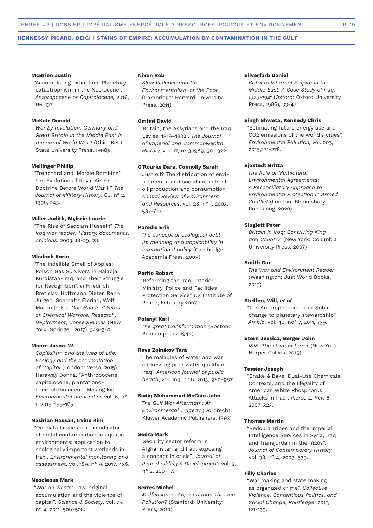#### **McBrien Justin**

"Accumulating extinction: Planetary catastrophism in the Necrocene", *Anthropocene or Capitalocene,* 2016, 116-137.

### **McKale Donald**

*War by revolution: Germany and Great Britain in the Middle East in the era of World War I* (Ohio: Kent State University Press, 1998).

#### **Meilinger Phillip**

"Trenchard and 'Morale Bombing': The Evolution of Royal Air Force Doctrine Before World War II" *The Journal of Military History*, 60, n° 2, 1996, 243.

### **Miller Judith, Mylroie Laurie**

"The Rise of Saddam Hussein" *The Iraq war reader: History, documents, opinions*, 2003, 18-29, 28.

### **Mlodoch Karin**

"The Indelible Smell of Apples: Poison Gas Survivors in Halabja, Kurdistan-Iraq, and Their Struggle for Recognition", *in* Friedrich Bretislav, Hoffmann Dieter, Renn Jürgen, Schmaltz Florian, Wolf Martin (eds.), *One Hundred Years of Chemical Warfare: Research, Deployment, Consequences* (New York: Springer, 2017), 349-362.

### **Moore Jason. W.**

*Capitalism and the Web of Life: Ecology and the Accumulation of Capital* (London: Verso, 2015). Haraway Donna, "Anthropocene, capitalocene, plantationocene, chthulucene: Making kin" *Environmental humanities* vol. 6, n° 1, 2015, 159-165.

### **Nasirian Hassan, Irvine Kim**

"Odonata larvae as a bioindicator of metal contamination in aquatic environments: application to ecologically important wetlands in Iran", *Environmental monitoring and assessment*, vol. 189. n° 9, 2017, 436.

### **Neocleous Mark**

"War on waste: Law, original accumulation and the violence of capital", *Science & Society*, vol. 75, n° 4, 2011, 506-528.

#### **Nixon Rob**

*Slow Violence and the Environmentalism of the Poor* (Cambridge: Harvard University Press, 2011).

### **Omissi David**

"Britain, the Assyrians and the Iraq Levies, 1919–1932", *The Journal of Imperial and Commonwealth History,* vol. 17, n° 3,1989, 301-322.

### **O'Rourke Dara, Connolly Sarah**

"Just oil? The distribution of environmental and social impacts of oil production and consumption" *Annual Review of Environment and Resources*, vol. 28, n° 1, 2003, 587-617.

### **Paredis Erik**

*The concept of ecological debt: its meaning and applicability in international policy* (Cambridge: Academia Press, 2009).

### **Perito Robert**

"Reforming the Iraqi Interior Ministry, Police and Facilities Protection Service" US Institute of Peace, February 2007;

#### **Polanyi Karl**

*The great transformation* (Boston: Beacon press, 1944).

#### **Rava Zolnikov Tara**

"The maladies of water and war: addressing poor water quality in Iraq" *American journal of public health*, vol. 103, n° 6, 2013, 980-987.

### **Sadiq Muhammad,McCain John**

*The Gulf War Aftermath: An Environmental Tragedy* (Dordrecht: Kluwer Academic Publishers, 1993)

### **Sedra Mark**

"Security sector reform in Afghanistan and Iraq: exposing a concept in crisis", *Journal of Peacebuilding & Development,* vol. 3, n° 2, 2007, 7.

### **Serres Michel**

*Malfeasance: Appropriation Through Pollution?* (Stanford: University Press, 2010).

#### **Silverfarb Daniel**

*Britain's Informal Empire in the Middle East. A Case Study of Iraq. 1929-1941* (Oxford: Oxford University Press, 1986), 33-47

### **Singh Shweta, Kennedy Chris**

"Estimating future energy use and CO2 emissions of the world's cities", *Environmental Pollution,* vol. 203, 2015,271-278.

### **Sjostedt Britta**

*The Role of Multilateral Environmental Agreements: A Reconciliatory Approach to Environmental Protection in Armed Conflict* (London: Bloomsbury Publishing, 2020).

### **Sluglett Peter**

*Britain in Iraq: Contriving King and Country*, (New York: Columbia University Press, 2007)

#### **Smith Gar**

*The War and Environment Reader* (Washington: Just World Books, 2017).

#### **Steffen, Will,** *et al.*

"The Anthropocene: from global change to planetary stewardship" *Ambio*, vol. 40, no° 7, 2011, 739.

### **Stern Jessica, Berger John**

*ISIS: The state of terror* (New York: Harper Collins, 2015).

#### **Tessier Joseph**

"Shake & Bake: Dual-Use Chemicals, Contexts, and the Illegality of American White Phosphorus Attacks in Iraq", *Pierce L. Rev.* 6, 2007, 323.

### **Thomas Martin**

"Bedouin Tribes and the Imperial Intelligence Services in Syria, Iraq and Transjordan in the 1920s", *Journal of Contemporary History,* vol. 38, n° 4, 2003, 539.

### **Tilly Charles**

"War making and state making as organized crime", *Collective Violence, Contentious Politics, and Social Change*, *Routledge*, 2017, 121-139.